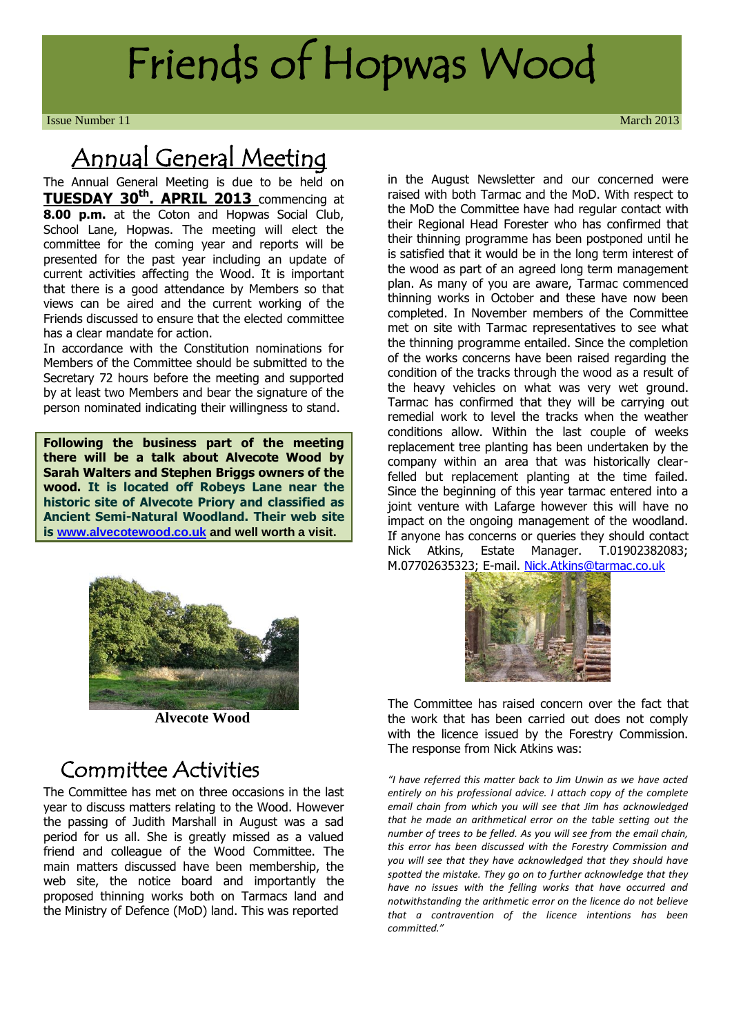# Friends of Hopwas Wood

**Issue Number 11** March 2013

# Annual General Meeting

The Annual General Meeting is due to be held on **TUESDAY 30th. APRIL 2013** commencing at **8.00 p.m.** at the Coton and Hopwas Social Club, School Lane, Hopwas. The meeting will elect the committee for the coming year and reports will be presented for the past year including an update of current activities affecting the Wood. It is important that there is a good attendance by Members so that views can be aired and the current working of the Friends discussed to ensure that the elected committee has a clear mandate for action.

In accordance with the Constitution nominations for Members of the Committee should be submitted to the Secretary 72 hours before the meeting and supported by at least two Members and bear the signature of the person nominated indicating their willingness to stand.

**Following the business part of the meeting there will be a talk about Alvecote Wood by Sarah Walters and Stephen Briggs owners of the wood. It is located off Robeys Lane near the historic site of Alvecote Priory and classified as Ancient Semi-Natural Woodland. Their web site is [www.alvecotewood.co.uk](http://www.alvecotewood.co.uk/) and well worth a visit.**



**Alvecote Wood**

#### Committee Activities

The Committee has met on three occasions in the last year to discuss matters relating to the Wood. However the passing of Judith Marshall in August was a sad period for us all. She is greatly missed as a valued friend and colleague of the Wood Committee. The main matters discussed have been membership, the web site, the notice board and importantly the proposed thinning works both on Tarmacs land and the Ministry of Defence (MoD) land. This was reported

in the August Newsletter and our concerned were raised with both Tarmac and the MoD. With respect to the MoD the Committee have had regular contact with their Regional Head Forester who has confirmed that their thinning programme has been postponed until he is satisfied that it would be in the long term interest of the wood as part of an agreed long term management plan. As many of you are aware, Tarmac commenced thinning works in October and these have now been completed. In November members of the Committee met on site with Tarmac representatives to see what the thinning programme entailed. Since the completion of the works concerns have been raised regarding the condition of the tracks through the wood as a result of the heavy vehicles on what was very wet ground. Tarmac has confirmed that they will be carrying out remedial work to level the tracks when the weather conditions allow. Within the last couple of weeks replacement tree planting has been undertaken by the company within an area that was historically clearfelled but replacement planting at the time failed. Since the beginning of this year tarmac entered into a joint venture with Lafarge however this will have no impact on the ongoing management of the woodland. If anyone has concerns or queries they should contact Nick Atkins, Estate Manager. T.01902382083; M.07702635323; E-mail. [Nick.Atkins@tarmac.co.uk](mailto:Nick.Atkins@tarmac.co.uk)



The Committee has raised concern over the fact that the work that has been carried out does not comply with the licence issued by the Forestry Commission. The response from Nick Atkins was:

*"I have referred this matter back to Jim Unwin as we have acted entirely on his professional advice. I attach copy of the complete email chain from which you will see that Jim has acknowledged that he made an arithmetical error on the table setting out the number of trees to be felled. As you will see from the email chain, this error has been discussed with the Forestry Commission and you will see that they have acknowledged that they should have spotted the mistake. They go on to further acknowledge that they have no issues with the felling works that have occurred and notwithstanding the arithmetic error on the licence do not believe that a contravention of the licence intentions has been committed."*